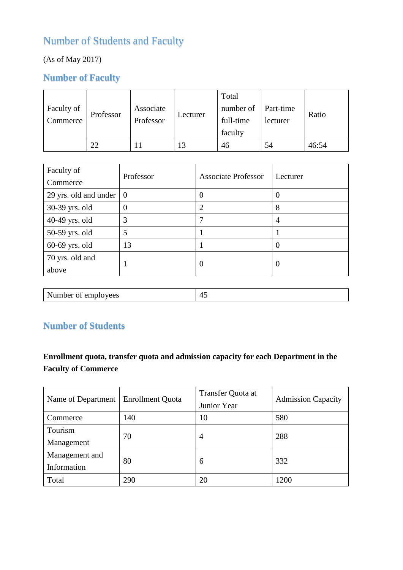## Number of Students and Faculty

## (As of May 2017)

## **Number of Faculty**

| Faculty of<br>Commerce | Professor | Associate<br>Professor | Lecturer | Total<br>number of<br>full-time<br>faculty | Part-time<br>lecturer | Ratio |
|------------------------|-----------|------------------------|----------|--------------------------------------------|-----------------------|-------|
|                        | 22        |                        | 13       | 46                                         | 54                    | 46:54 |

| Faculty of<br>Commerce   | Professor | <b>Associate Professor</b> | Lecturer |
|--------------------------|-----------|----------------------------|----------|
| 29 yrs. old and under    | $\theta$  | $\Omega$                   |          |
| 30-39 yrs. old           | 0         | $\overline{2}$             | 8        |
| 40-49 yrs. old           | 3         | 7                          | 4        |
| 50-59 yrs. old           | 5         |                            |          |
| $60-69$ yrs. old         | 13        |                            |          |
| 70 yrs. old and<br>above |           | $\Omega$                   | $\left($ |
|                          |           |                            |          |

| Number of employees |  |
|---------------------|--|
|                     |  |

## **Number of Students**

## **Enrollment quota, transfer quota and admission capacity for each Department in the Faculty of Commerce**

| Name of Department            | <b>Enrollment Quota</b> | Transfer Quota at<br>Junior Year | <b>Admission Capacity</b> |
|-------------------------------|-------------------------|----------------------------------|---------------------------|
| Commerce                      | 140                     | 10                               | 580                       |
| Tourism<br>Management         | 70                      | $\overline{4}$                   | 288                       |
| Management and<br>Information | 80                      | 6                                | 332                       |
| Total                         | 290                     | 20                               | 1200                      |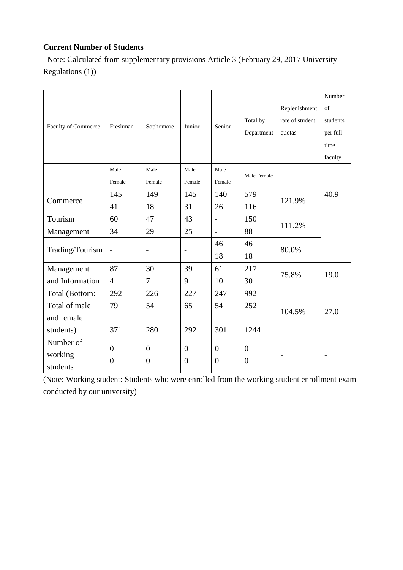#### **Current Number of Students**

Note: Calculated from supplementary provisions Article 3 (February 29, 2017 University Regulations (1))

|                     |                  |                  |                          |                          |                |                 | Number                   |
|---------------------|------------------|------------------|--------------------------|--------------------------|----------------|-----------------|--------------------------|
|                     |                  |                  | Junior                   | Senior                   |                | Replenishment   | of                       |
| Faculty of Commerce | Freshman         |                  |                          |                          | Total by       | rate of student | students                 |
|                     |                  | Sophomore        |                          |                          | Department     | quotas          | per full-                |
|                     |                  |                  |                          |                          |                |                 | time                     |
|                     |                  |                  |                          |                          |                |                 | faculty                  |
|                     | Male             | Male             | Male                     | Male                     | Male Female    |                 |                          |
|                     | Female           | Female           | Female                   | Female                   |                |                 |                          |
|                     | 145              | 149              | 145                      | 140                      | 579            |                 | 40.9                     |
| Commerce            | 41               | 18               | 31                       | 26                       | 121.9%<br>116  |                 |                          |
| Tourism             | 60               | 47               | 43                       | $\overline{a}$           | 150            |                 |                          |
| Management          | 34               | 29               | 25                       | $\overline{\phantom{0}}$ | 111.2%<br>88   |                 |                          |
|                     |                  |                  |                          | 46                       | 46             |                 |                          |
| Trading/Tourism     | $\overline{a}$   | $\overline{a}$   | $\overline{\phantom{0}}$ | 18                       | 18             | 80.0%           |                          |
| Management          | 87               | 30               | 39                       | 61                       | 217            |                 |                          |
| and Information     | $\overline{4}$   | 7                | 9                        | 10                       | 30             | 75.8%           | 19.0                     |
| Total (Bottom:      | 292              | 226              | 227                      | 247                      | 992            |                 |                          |
| Total of male       | 79               | 54               | 65                       | 54                       | 252            |                 |                          |
| and female          |                  |                  |                          |                          |                | 104.5%          | 27.0                     |
| students)           | 371              | 280              | 292                      | 301                      | 1244           |                 |                          |
| Number of           |                  |                  |                          |                          |                |                 |                          |
| working             | $\overline{0}$   | $\overline{0}$   | $\overline{0}$           | $\boldsymbol{0}$         | $\overline{0}$ |                 | $\overline{\phantom{0}}$ |
| students            | $\boldsymbol{0}$ | $\boldsymbol{0}$ | $\boldsymbol{0}$         | $\boldsymbol{0}$         | $\overline{0}$ |                 |                          |

(Note: Working student: Students who were enrolled from the working student enrollment exam conducted by our university)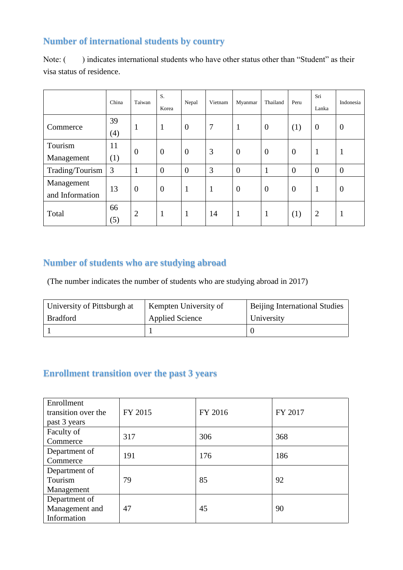## **Number of international students by country**

|                               | China          | Taiwan         | S.<br>Korea    | Nepal            | Vietnam | Myanmar        | Thailand       | Peru             | Sri<br>Lanka   | Indonesia      |
|-------------------------------|----------------|----------------|----------------|------------------|---------|----------------|----------------|------------------|----------------|----------------|
| Commerce                      | 39<br>(4)      | $\mathbf{1}$   | $\mathbf{1}$   | $\boldsymbol{0}$ | 7       | 1              | $\overline{0}$ | (1)              | $\overline{0}$ | $\theta$       |
| Tourism<br>Management         | 11<br>(1)      | $\overline{0}$ | $\overline{0}$ | $\boldsymbol{0}$ | 3       | $\overline{0}$ | $\theta$       | $\overline{0}$   | 1              | 1              |
| Trading/Tourism               | $\overline{3}$ | $\mathbf{1}$   | $\overline{0}$ | $\overline{0}$   | 3       | $\overline{0}$ | $\mathbf{1}$   | $\overline{0}$   | $\overline{0}$ | $\mathbf{0}$   |
| Management<br>and Information | 13             | $\overline{0}$ | $\overline{0}$ | $\mathbf{1}$     | 1       | $\overline{0}$ | $\theta$       | $\boldsymbol{0}$ | $\mathbf{1}$   | $\overline{0}$ |
| Total                         | 66<br>(5)      | $\overline{2}$ | $\mathbf{1}$   | $\mathbf{1}$     | 14      | 1              | $\mathbf{1}$   | (1)              | $\overline{2}$ | 1              |

Note: () indicates international students who have other status other than "Student" as their visa status of residence.

## **Number of students who are studying abroad**

(The number indicates the number of students who are studying abroad in 2017)

| University of Pittsburgh at | Kempten University of | Beijing International Studies |
|-----------------------------|-----------------------|-------------------------------|
| <b>Bradford</b>             | Applied Science       | University                    |
|                             |                       |                               |

## **Enrollment transition over the past 3 years**

| Enrollment<br>transition over the<br>past 3 years | FY 2015 | FY 2016 | FY 2017 |
|---------------------------------------------------|---------|---------|---------|
| Faculty of<br>Commerce                            | 317     | 306     | 368     |
| Department of<br>Commerce                         | 191     | 176     | 186     |
| Department of<br>Tourism<br>Management            | 79      | 85      | 92      |
| Department of<br>Management and<br>Information    | 47      | 45      | 90      |